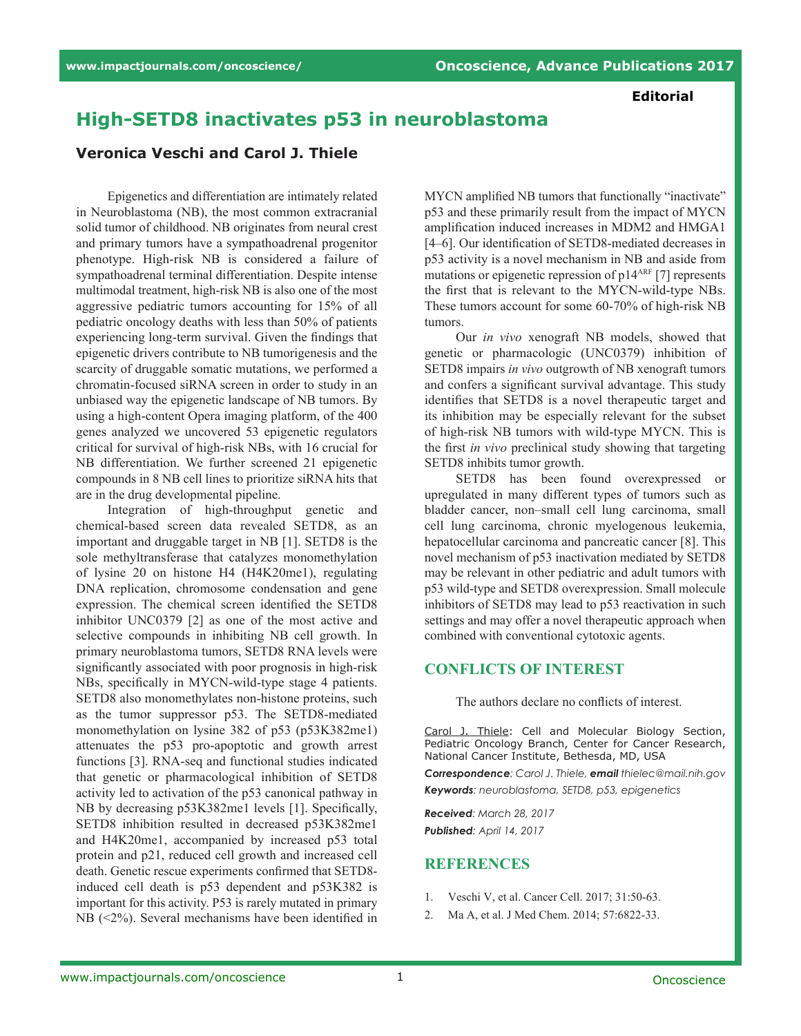**Editorial**

## **High-SETD8 inactivates p53 in neuroblastoma**

## **Veronica Veschi and Carol J. Thiele**

Epigenetics and differentiation are intimately related in Neuroblastoma (NB), the most common extracranial solid tumor of childhood. NB originates from neural crest and primary tumors have a sympathoadrenal progenitor phenotype. High-risk NB is considered a failure of sympathoadrenal terminal differentiation. Despite intense multimodal treatment, high-risk NB is also one of the most aggressive pediatric tumors accounting for 15% of all pediatric oncology deaths with less than 50% of patients experiencing long-term survival. Given the findings that epigenetic drivers contribute to NB tumorigenesis and the scarcity of druggable somatic mutations, we performed a chromatin-focused siRNA screen in order to study in an unbiased way the epigenetic landscape of NB tumors. By using a high-content Opera imaging platform, of the 400 genes analyzed we uncovered 53 epigenetic regulators critical for survival of high-risk NBs, with 16 crucial for NB differentiation. We further screened 21 epigenetic compounds in 8 NB cell lines to prioritize siRNA hits that are in the drug developmental pipeline.

Integration of high-throughput genetic and chemical-based screen data revealed SETD8, as an important and druggable target in NB [1]. SETD8 is the sole methyltransferase that catalyzes monomethylation of lysine 20 on histone H4 (H4K20me1), regulating DNA replication, chromosome condensation and gene expression. The chemical screen identified the SETD8 inhibitor UNC0379 [2] as one of the most active and selective compounds in inhibiting NB cell growth. In primary neuroblastoma tumors, SETD8 RNA levels were significantly associated with poor prognosis in high-risk NBs, specifically in MYCN-wild-type stage 4 patients. SETD8 also monomethylates non-histone proteins, such as the tumor suppressor p53. The SETD8-mediated monomethylation on lysine 382 of p53 (p53K382me1) attenuates the p53 pro-apoptotic and growth arrest functions [3]. RNA-seq and functional studies indicated that genetic or pharmacological inhibition of SETD8 activity led to activation of the p53 canonical pathway in NB by decreasing p53K382me1 levels [1]. Specifically, SETD8 inhibition resulted in decreased p53K382me1 and H4K20me1, accompanied by increased p53 total protein and p21, reduced cell growth and increased cell death. Genetic rescue experiments confirmed that SETD8 induced cell death is p53 dependent and p53K382 is important for this activity. P53 is rarely mutated in primary NB (<2%). Several mechanisms have been identified in

MYCN amplified NB tumors that functionally "inactivate" p53 and these primarily result from the impact of MYCN amplification induced increases in MDM2 and HMGA1 [4–6]. Our identification of SETD8-mediated decreases in p53 activity is a novel mechanism in NB and aside from mutations or epigenetic repression of p14<sup>ARF</sup> [7] represents the first that is relevant to the MYCN-wild-type NBs. These tumors account for some 60-70% of high-risk NB tumors.

Our *in vivo* xenograft NB models, showed that genetic or pharmacologic (UNC0379) inhibition of SETD8 impairs *in vivo* outgrowth of NB xenograft tumors and confers a significant survival advantage. This study identifies that SETD8 is a novel therapeutic target and its inhibition may be especially relevant for the subset of high-risk NB tumors with wild-type MYCN. This is the first *in vivo* preclinical study showing that targeting SETD8 inhibits tumor growth.

SETD8 has been found overexpressed or upregulated in many different types of tumors such as bladder cancer, non–small cell lung carcinoma, small cell lung carcinoma, chronic myelogenous leukemia, hepatocellular carcinoma and pancreatic cancer [8]. This novel mechanism of p53 inactivation mediated by SETD8 may be relevant in other pediatric and adult tumors with p53 wild-type and SETD8 overexpression. Small molecule inhibitors of SETD8 may lead to p53 reactivation in such settings and may offer a novel therapeutic approach when combined with conventional cytotoxic agents.

## **CONFLICTS OF INTEREST**

The authors declare no conflicts of interest.

Carol J. Thiele: Cell and Molecular Biology Section, Pediatric Oncology Branch, Center for Cancer Research, National Cancer Institute, Bethesda, MD, USA

*Correspondence: Carol J. Thiele, email thielec@mail.nih.gov Keywords: neuroblastoma, SETD8, p53, epigenetics*

*Received: March 28, 2017 Published: April 14, 2017*

## **REFERENCES**

- 1. Veschi V, et al. Cancer Cell. 2017; 31:50-63.
- 2. Ma A, et al. J Med Chem. 2014; 57:6822-33.